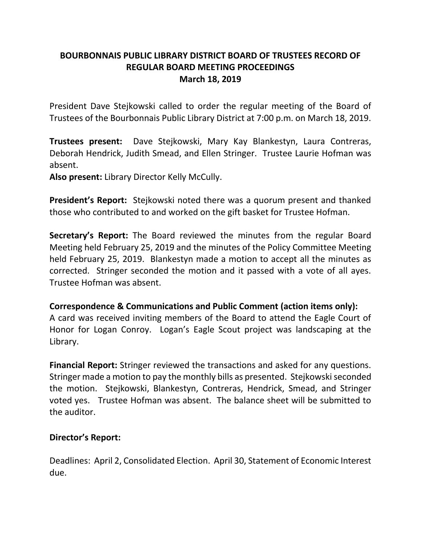# **BOURBONNAIS PUBLIC LIBRARY DISTRICT BOARD OF TRUSTEES RECORD OF REGULAR BOARD MEETING PROCEEDINGS March 18, 2019**

President Dave Stejkowski called to order the regular meeting of the Board of Trustees of the Bourbonnais Public Library District at 7:00 p.m. on March 18, 2019.

**Trustees present:** Dave Stejkowski, Mary Kay Blankestyn, Laura Contreras, Deborah Hendrick, Judith Smead, and Ellen Stringer. Trustee Laurie Hofman was absent.

**Also present:** Library Director Kelly McCully.

**President's Report:** Stejkowski noted there was a quorum present and thanked those who contributed to and worked on the gift basket for Trustee Hofman.

**Secretary's Report:** The Board reviewed the minutes from the regular Board Meeting held February 25, 2019 and the minutes of the Policy Committee Meeting held February 25, 2019. Blankestyn made a motion to accept all the minutes as corrected. Stringer seconded the motion and it passed with a vote of all ayes. Trustee Hofman was absent.

## **Correspondence & Communications and Public Comment (action items only):**

A card was received inviting members of the Board to attend the Eagle Court of Honor for Logan Conroy. Logan's Eagle Scout project was landscaping at the Library.

**Financial Report:** Stringer reviewed the transactions and asked for any questions. Stringer made a motion to pay the monthly bills as presented. Stejkowski seconded the motion. Stejkowski, Blankestyn, Contreras, Hendrick, Smead, and Stringer voted yes. Trustee Hofman was absent. The balance sheet will be submitted to the auditor.

## **Director's Report:**

Deadlines: April 2, Consolidated Election. April 30, Statement of Economic Interest due.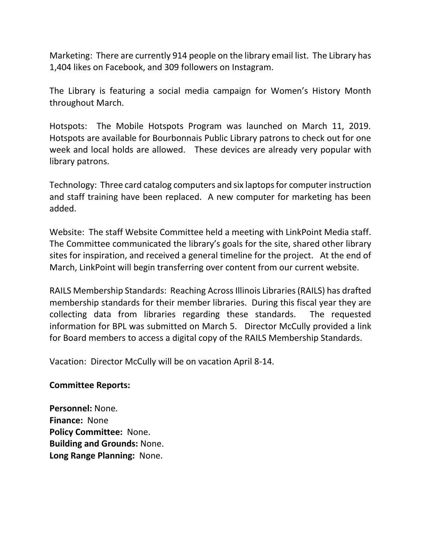Marketing: There are currently 914 people on the library email list. The Library has 1,404 likes on Facebook, and 309 followers on Instagram.

The Library is featuring a social media campaign for Women's History Month throughout March.

Hotspots: The Mobile Hotspots Program was launched on March 11, 2019. Hotspots are available for Bourbonnais Public Library patrons to check out for one week and local holds are allowed. These devices are already very popular with library patrons.

Technology: Three card catalog computers and six laptops for computer instruction and staff training have been replaced. A new computer for marketing has been added.

Website: The staff Website Committee held a meeting with LinkPoint Media staff. The Committee communicated the library's goals for the site, shared other library sites for inspiration, and received a general timeline for the project. At the end of March, LinkPoint will begin transferring over content from our current website.

RAILS Membership Standards: Reaching Across Illinois Libraries(RAILS) has drafted membership standards for their member libraries. During this fiscal year they are collecting data from libraries regarding these standards. The requested information for BPL was submitted on March 5. Director McCully provided a link for Board members to access a digital copy of the RAILS Membership Standards.

Vacation: Director McCully will be on vacation April 8-14.

## **Committee Reports:**

**Personnel:** None. **Finance:** None **Policy Committee:** None. **Building and Grounds:** None. **Long Range Planning:** None.